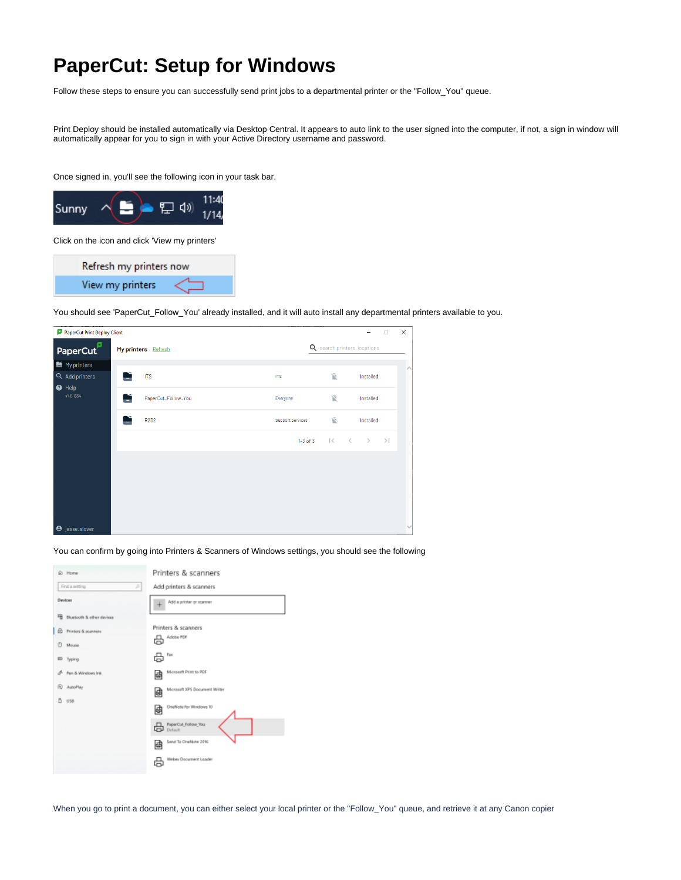## <span id="page-0-0"></span>**PaperCut: Setup for Windows**

Follow these steps to ensure you can successfully send print jobs to a departmental printer or the "Follow\_You" queue.

Print Deploy should be installed automatically via Desktop Central. It appears to auto link to the user signed into the computer, if not, a sign in window will automatically appear for you to sign in with your Active Directory username and password.

Once signed in, you'll see the following icon in your task bar.



Click on the icon and click 'View my printers'

Refresh my printers now View my printers

You should see 'PaperCut\_Follow\_You' already installed, and it will auto install any departmental printers available to you.

| PaperCut Print Deploy Client<br>×<br>$\Box$ |                                               |                     |                     |  |                         |                               |               |     |              |  |
|---------------------------------------------|-----------------------------------------------|---------------------|---------------------|--|-------------------------|-------------------------------|---------------|-----|--------------|--|
|                                             | PaperCut                                      | My printers Refresh |                     |  |                         | Q search printers, locations  |               |     |              |  |
|                                             | $\blacksquare$ My printers                    |                     |                     |  |                         |                               |               |     | $\land$      |  |
|                                             | Q Add printers<br>$\bullet$ Help<br>v1.0.1354 | Ľ                   | <b>ITS</b>          |  | <b>ITS</b>              | 厦                             | Installed     |     |              |  |
|                                             |                                               | Ľ                   | PaperCut_Follow_You |  | Everyone                | 区                             | Installed     |     |              |  |
|                                             |                                               |                     | <b>R2D2</b>         |  | <b>Support Services</b> | 区                             | Installed     |     |              |  |
|                                             |                                               |                     |                     |  | $1-3$ of $3$            | $\vert \langle$<br>$\sim$ $<$ | $\rightarrow$ | $>$ |              |  |
|                                             |                                               |                     |                     |  |                         |                               |               |     |              |  |
|                                             |                                               |                     |                     |  |                         |                               |               |     |              |  |
|                                             |                                               |                     |                     |  |                         |                               |               |     |              |  |
|                                             |                                               |                     |                     |  |                         |                               |               |     | $\checkmark$ |  |
|                                             | <b>e</b> jesse.slover                         |                     |                     |  |                         |                               |               |     |              |  |

You can confirm by going into Printers & Scanners of Windows settings, you should see the following



When you go to print a document, you can either select your local printer or the "Follow\_You" queue, and retrieve it at any Canon copier